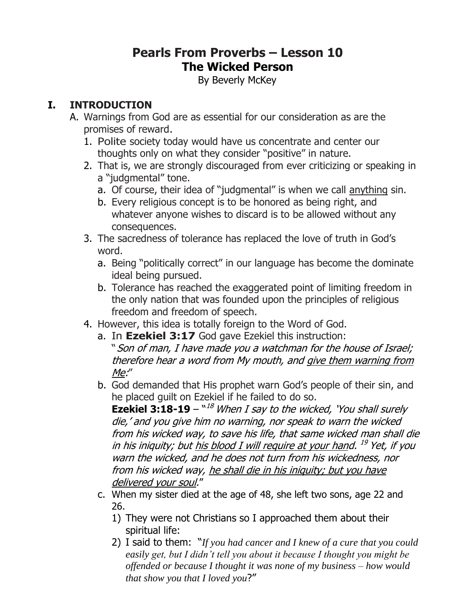# **Pearls From Proverbs – Lesson 10 The Wicked Person**

By Beverly McKey

#### **I. INTRODUCTION**

- A. Warnings from God are as essential for our consideration as are the promises of reward.
	- 1. Polite society today would have us concentrate and center our thoughts only on what they consider "positive" in nature.
	- 2. That is, we are strongly discouraged from ever criticizing or speaking in a "judgmental" tone.
		- a. Of course, their idea of "judgmental" is when we call anything sin.
		- b. Every religious concept is to be honored as being right, and whatever anyone wishes to discard is to be allowed without any consequences.
	- 3. The sacredness of tolerance has replaced the love of truth in God's word.
		- a. Being "politically correct" in our language has become the dominate ideal being pursued.
		- b. Tolerance has reached the exaggerated point of limiting freedom in the only nation that was founded upon the principles of religious freedom and freedom of speech.
	- 4. However, this idea is totally foreign to the Word of God.
		- a. In **Ezekiel 3:17** God gave Ezekiel this instruction:
			- "Son of man, I have made you a watchman for the house of Israel; therefore hear a word from My mouth, and give them warning from Me:"
		- b. God demanded that His prophet warn God's people of their sin, and he placed guilt on Ezekiel if he failed to do so.

**Ezekiel 3:18-19** –  $^{\text{M8}}$  *When I say to the wicked, 'You shall surely* die,' and you give him no warning, nor speak to warn the wicked from his wicked way, to save his life, that same wicked man shall die in his iniquity; but <u>his blood I will require at your han</u>d. <sup>19</sup> Yet, if you warn the wicked, and he does not turn from his wickedness, nor from his wicked way, he shall die in his iniquity; but you have delivered your soul."

- c. When my sister died at the age of 48, she left two sons, age 22 and 26.
	- 1) They were not Christians so I approached them about their spiritual life:
	- 2) I said to them: "*If you had cancer and I knew of a cure that you could easily get, but I didn't tell you about it because I thought you might be offended or because I thought it was none of my business – how would that show you that I loved you*?"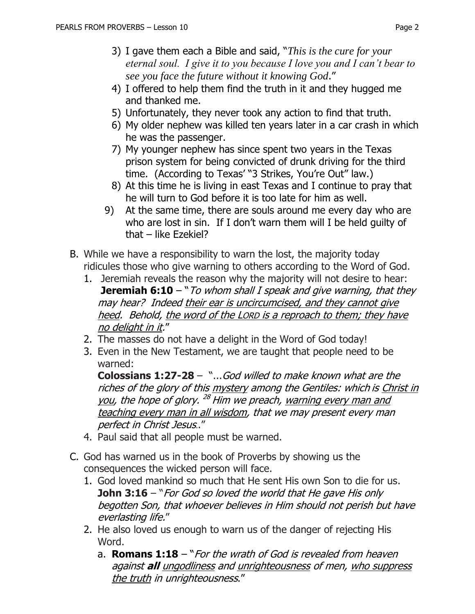- 3) I gave them each a Bible and said, "*This is the cure for your eternal soul. I give it to you because I love you and I can't bear to see you face the future without it knowing God*."
- 4) I offered to help them find the truth in it and they hugged me and thanked me.
- 5) Unfortunately, they never took any action to find that truth.
- 6) My older nephew was killed ten years later in a car crash in which he was the passenger.
- 7) My younger nephew has since spent two years in the Texas prison system for being convicted of drunk driving for the third time. (According to Texas' "3 Strikes, You're Out" law.)
- 8) At this time he is living in east Texas and I continue to pray that he will turn to God before it is too late for him as well.
- 9) At the same time, there are souls around me every day who are who are lost in sin. If I don't warn them will I be held guilty of that – like Ezekiel?
- B. While we have a responsibility to warn the lost, the majority today ridicules those who give warning to others according to the Word of God.
	- 1. Jeremiah reveals the reason why the majority will not desire to hear: **Jeremiah 6:10** – "*To whom shall I speak and give warning, that they* may hear? Indeed their ear is uncircumcised, and they cannot give heed. Behold, the word of the LORD is a reproach to them; they have no delight in it."
	- 2. The masses do not have a delight in the Word of God today!
	- 3. Even in the New Testament, we are taught that people need to be warned:

**Colossians 1:27-28** – "...God willed to make known what are the riches of the glory of this mystery among the Gentiles: which is Christ in <u>you</u>, the hope of glory. <sup>28</sup> Him we preach, warning every man and teaching every man in all wisdom, that we may present every man perfect in Christ Jesus.."

- 4. Paul said that all people must be warned.
- C. God has warned us in the book of Proverbs by showing us the consequences the wicked person will face.
	- 1. God loved mankind so much that He sent His own Son to die for us. **John 3:16** – "For God so loved the world that He gave His only begotten Son, that whoever believes in Him should not perish but have everlasting life."
	- 2. He also loved us enough to warn us of the danger of rejecting His Word.
		- a. **Romans 1:18** "For the wrath of God is revealed from heaven against **all** ungodliness and unrighteousness of men, who suppress the truth in unrighteousness."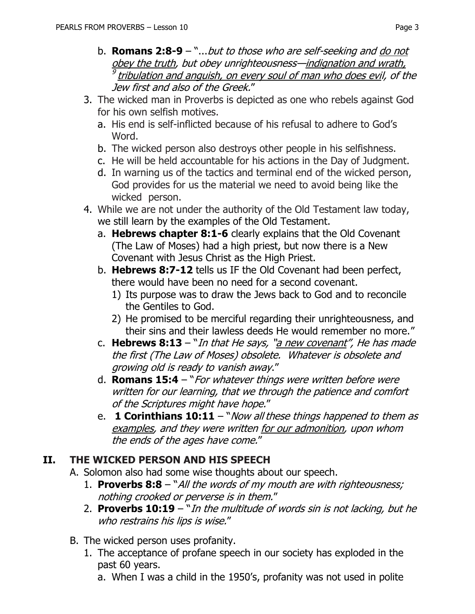- b. **Romans 2:8-9**  "...but to those who are self-seeking and do not obey the truth, but obey unrighteousness—indignation and wrath, <sup>9</sup> tribulation and anguish, on every soul of man who does evil, of the Jew first and also of the Greek."
- 3. The wicked man in Proverbs is depicted as one who rebels against God for his own selfish motives.
	- a. His end is self-inflicted because of his refusal to adhere to God's Word.
	- b. The wicked person also destroys other people in his selfishness.
	- c. He will be held accountable for his actions in the Day of Judgment.
	- d. In warning us of the tactics and terminal end of the wicked person, God provides for us the material we need to avoid being like the wicked person.
- 4. While we are not under the authority of the Old Testament law today, we still learn by the examples of the Old Testament.
	- a. **Hebrews chapter 8:1-6** clearly explains that the Old Covenant (The Law of Moses) had a high priest, but now there is a New Covenant with Jesus Christ as the High Priest.
	- b. **Hebrews 8:7-12** tells us IF the Old Covenant had been perfect, there would have been no need for a second covenant.
		- 1) Its purpose was to draw the Jews back to God and to reconcile the Gentiles to God.
		- 2) He promised to be merciful regarding their unrighteousness, and their sins and their lawless deeds He would remember no more."
	- c. **Hebrews 8:13**  "In that He says, "a new covenant", He has made the first (The Law of Moses) obsolete. Whatever is obsolete and growing old is ready to vanish away."
	- d. **Romans 15:4** "For whatever things were written before were written for our learning, that we through the patience and comfort of the Scriptures might have hope."
	- e. **1 Corinthians 10:11** "Now all these things happened to them as examples, and they were written for our admonition, upon whom the ends of the ages have come."

## **II. THE WICKED PERSON AND HIS SPEECH**

- A. Solomon also had some wise thoughts about our speech.
	- 1. **Proverbs 8:8**  "All the words of my mouth are with righteousness; nothing crooked or perverse is in them."
	- 2. **Proverbs 10:19**  "In the multitude of words sin is not lacking, but he who restrains his lips is wise."
- B. The wicked person uses profanity.
	- 1. The acceptance of profane speech in our society has exploded in the past 60 years.
		- a. When I was a child in the 1950's, profanity was not used in polite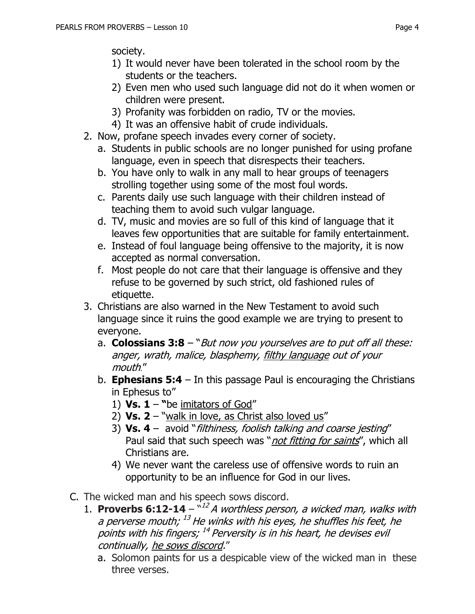society.

- 1) It would never have been tolerated in the school room by the students or the teachers.
- 2) Even men who used such language did not do it when women or children were present.
- 3) Profanity was forbidden on radio, TV or the movies.
- 4) It was an offensive habit of crude individuals.
- 2. Now, profane speech invades every corner of society.
	- a. Students in public schools are no longer punished for using profane language, even in speech that disrespects their teachers.
	- b. You have only to walk in any mall to hear groups of teenagers strolling together using some of the most foul words.
	- c. Parents daily use such language with their children instead of teaching them to avoid such vulgar language.
	- d. TV, music and movies are so full of this kind of language that it leaves few opportunities that are suitable for family entertainment.
	- e. Instead of foul language being offensive to the majority, it is now accepted as normal conversation.
	- f. Most people do not care that their language is offensive and they refuse to be governed by such strict, old fashioned rules of etiquette.
- 3. Christians are also warned in the New Testament to avoid such language since it ruins the good example we are trying to present to everyone.
	- a. **Colossians 3:8** "But now you yourselves are to put off all these: anger, wrath, malice, blasphemy, filthy language out of your mouth."
	- b. **Ephesians 5:4** In this passage Paul is encouraging the Christians in Ephesus to"
		- 1) **Vs.**  $1 -$  "be imitators of God"
		- 2) **Vs. 2**  "walk in love, as Christ also loved us"
		- 3) **Vs. 4** avoid "filthiness, foolish talking and coarse jesting" Paul said that such speech was "*not fitting for saints"*, which all Christians are.
		- 4) We never want the careless use of offensive words to ruin an opportunity to be an influence for God in our lives.
- C. The wicked man and his speech sows discord.
	- 1. **Proverbs 6:12-14**  $-\frac{12}{4}A$  worthless person, a wicked man, walks with a perverse mouth; <sup>13</sup> He winks with his eyes, he shuffles his feet, he points with his fingers; <sup>14</sup> Perversity is in his heart, he devises evil continually, he sows discord."
		- a. Solomon paints for us a despicable view of the wicked man in these three verses.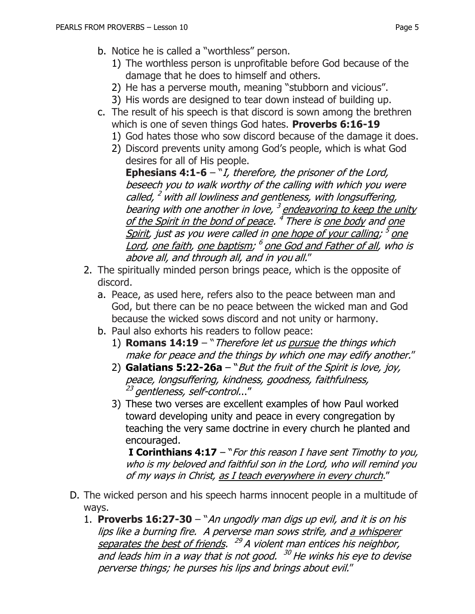- b. Notice he is called a "worthless" person.
	- 1) The worthless person is unprofitable before God because of the damage that he does to himself and others.
	- 2) He has a perverse mouth, meaning "stubborn and vicious".
	- 3) His words are designed to tear down instead of building up.
- c. The result of his speech is that discord is sown among the brethren which is one of seven things God hates. **Proverbs 6:16-19**
	- 1) God hates those who sow discord because of the damage it does.
	- 2) Discord prevents unity among God's people, which is what God desires for all of His people.

**Ephesians 4:1-6** – "I, therefore, the prisoner of the Lord, beseech you to walk worthy of the calling with which you were called, <sup>2</sup> with all lowliness and gentleness, with longsuffering, bearing with one another in love, <sup>3</sup> endeavoring to keep the unity <u>of the Spirit in the bond of peace</u>. <sup>4</sup> There is <u>one body</u> and <u>one</u> Spirit, just as you were called in <u>one hope of your calling; <sup>5</sup> one</u> Lord, <u>one faith, one baptism; <sup>6</sup> one God and Father of all</u>, who is above all, and through all, and in you all."

- 2. The spiritually minded person brings peace, which is the opposite of discord.
	- a. Peace, as used here, refers also to the peace between man and God, but there can be no peace between the wicked man and God because the wicked sows discord and not unity or harmony.
	- b. Paul also exhorts his readers to follow peace:
		- 1) **Romans 14:19**  "Therefore let us pursue the things which make for peace and the things by which one may edify another."
		- 2) **Galatians 5:22-26a** "But the fruit of the Spirit is love, joy, peace, longsuffering, kindness, goodness, faithfulness, <sup>23</sup> gentleness, self-control..."
		- 3) These two verses are excellent examples of how Paul worked toward developing unity and peace in every congregation by teaching the very same doctrine in every church he planted and encouraged.

**I Corinthians 4:17** – "For this reason I have sent Timothy to you, who is my beloved and faithful son in the Lord, who will remind you of my ways in Christ, as I teach everywhere in every church."

- D. The wicked person and his speech harms innocent people in a multitude of ways.
	- 1. **Proverbs 16:27-30**  "An ungodly man digs up evil, and it is on his lips like a burning fire. A perverse man sows strife, and a whisperer separates the best of friends. <sup>29</sup> A violent man entices his neighbor, and leads him in a way that is not good. <sup>30</sup> He winks his eye to devise perverse things; he purses his lips and brings about evil."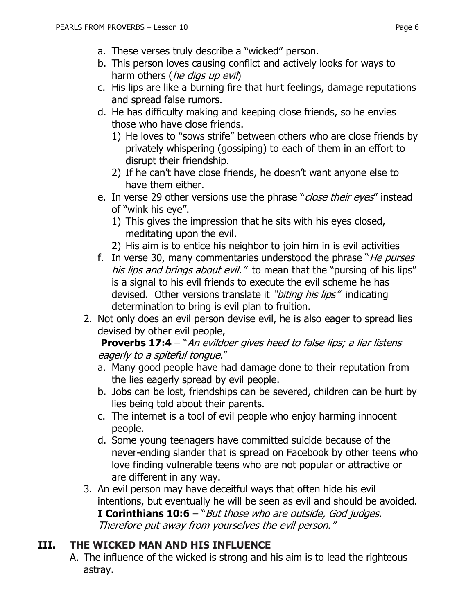- a. These verses truly describe a "wicked" person.
- b. This person loves causing conflict and actively looks for ways to harm others (*he digs up evil*)
- c. His lips are like a burning fire that hurt feelings, damage reputations and spread false rumors.
- d. He has difficulty making and keeping close friends, so he envies those who have close friends.
	- 1) He loves to "sows strife" between others who are close friends by privately whispering (gossiping) to each of them in an effort to disrupt their friendship.
	- 2) If he can't have close friends, he doesn't want anyone else to have them either.
- e. In verse 29 other versions use the phrase "*close their eyes*" instead of "wink his eye".
	- 1) This gives the impression that he sits with his eyes closed, meditating upon the evil.
	- 2) His aim is to entice his neighbor to join him in is evil activities
- f. In verse 30, many commentaries understood the phrase "He purses" his lips and brings about evil." to mean that the "pursing of his lips" is a signal to his evil friends to execute the evil scheme he has devised. Other versions translate it "biting his lips" indicating determination to bring is evil plan to fruition.
- 2. Not only does an evil person devise evil, he is also eager to spread lies devised by other evil people,

**Proverbs 17:4** – "An evildoer gives heed to false lips; a liar listens eagerly to a spiteful tongue."

- a. Many good people have had damage done to their reputation from the lies eagerly spread by evil people.
- b. Jobs can be lost, friendships can be severed, children can be hurt by lies being told about their parents.
- c. The internet is a tool of evil people who enjoy harming innocent people.
- d. Some young teenagers have committed suicide because of the never-ending slander that is spread on Facebook by other teens who love finding vulnerable teens who are not popular or attractive or are different in any way.
- 3. An evil person may have deceitful ways that often hide his evil intentions, but eventually he will be seen as evil and should be avoided. **I Corinthians 10:6** – "But those who are outside, God judges. Therefore put away from yourselves the evil person."

## **III. THE WICKED MAN AND HIS INFLUENCE**

A. The influence of the wicked is strong and his aim is to lead the righteous astray.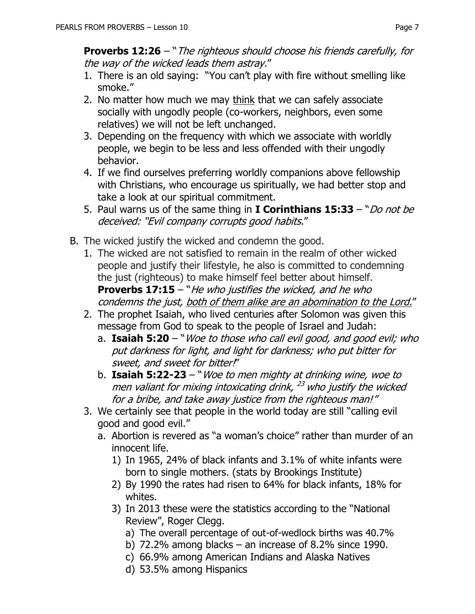**Proverbs 12:26** – "The righteous should choose his friends carefully, for the way of the wicked leads them astray."

- 1. There is an old saying: "You can't play with fire without smelling like smoke."
- 2. No matter how much we may think that we can safely associate socially with ungodly people (co-workers, neighbors, even some relatives) we will not be left unchanged.
- 3. Depending on the frequency with which we associate with worldly people, we begin to be less and less offended with their ungodly behavior.
- 4. If we find ourselves preferring worldly companions above fellowship with Christians, who encourage us spiritually, we had better stop and take a look at our spiritual commitment.
- 5. Paul warns us of the same thing in **I Corinthians 15:33**  "Do not be deceived: "Evil company corrupts good habits."
- B. The wicked justify the wicked and condemn the good.
	- 1. The wicked are not satisfied to remain in the realm of other wicked people and justify their lifestyle, he also is committed to condemning the just (righteous) to make himself feel better about himself. **Proverbs 17:15** – "*He who justifies the wicked, and he who* condemns the just, both of them alike are an abomination to the Lord."
	- 2. The prophet Isaiah, who lived centuries after Solomon was given this message from God to speak to the people of Israel and Judah:
		- a. **Isaiah 5:20**  "Woe to those who call evil good, and good evil; who put darkness for light, and light for darkness; who put bitter for sweet, and sweet for bitter!"
		- b. **Isaiah 5:22-23**  "Woe to men mighty at drinking wine, woe to men valiant for mixing intoxicating drink, <sup>23</sup> who justify the wicked for a bribe, and take away justice from the righteous man!"
	- 3. We certainly see that people in the world today are still "calling evil good and good evil."
		- a. Abortion is revered as "a woman's choice" rather than murder of an innocent life.
			- 1) In 1965, 24% of black infants and 3.1% of white infants were born to single mothers. (stats by Brookings Institute)
			- 2) By 1990 the rates had risen to 64% for black infants, 18% for whites.
			- 3) In 2013 these were the statistics according to the "National Review", Roger Clegg.
				- a) The overall percentage of out-of-wedlock births was 40.7%
				- b) 72.2% among blacks an increase of 8.2% since 1990.
				- c) 66.9% among American Indians and Alaska Natives
				- d) 53.5% among Hispanics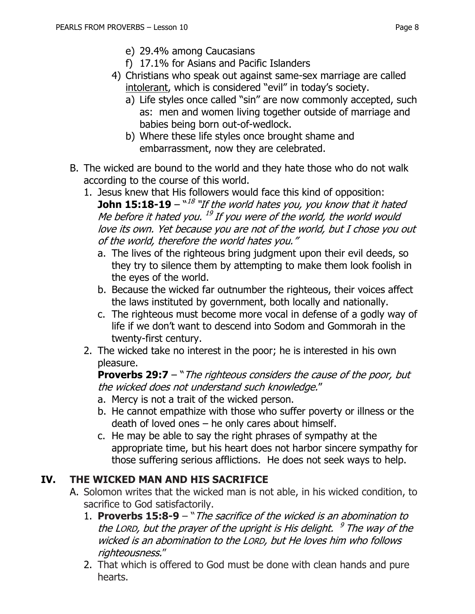- e) 29.4% among Caucasians
- f) 17.1% for Asians and Pacific Islanders
- 4) Christians who speak out against same-sex marriage are called intolerant, which is considered "evil" in today's society.
	- a) Life styles once called "sin" are now commonly accepted, such as: men and women living together outside of marriage and babies being born out-of-wedlock.
	- b) Where these life styles once brought shame and embarrassment, now they are celebrated.
- B. The wicked are bound to the world and they hate those who do not walk according to the course of this world.
	- 1. Jesus knew that His followers would face this kind of opposition: **John 15:18-19** – ``<sup>18</sup> ``If the world hates you, you know that it hated Me before it hated you. <sup>19</sup> If you were of the world, the world would love its own. Yet because you are not of the world, but I chose you out of the world, therefore the world hates you."
		- a. The lives of the righteous bring judgment upon their evil deeds, so they try to silence them by attempting to make them look foolish in the eyes of the world.
		- b. Because the wicked far outnumber the righteous, their voices affect the laws instituted by government, both locally and nationally.
		- c. The righteous must become more vocal in defense of a godly way of life if we don't want to descend into Sodom and Gommorah in the twenty-first century.
	- 2. The wicked take no interest in the poor; he is interested in his own pleasure.

**Proverbs 29:7** – "*The righteous considers the cause of the poor, but* the wicked does not understand such knowledge."

- a. Mercy is not a trait of the wicked person.
- b. He cannot empathize with those who suffer poverty or illness or the death of loved ones – he only cares about himself.
- c. He may be able to say the right phrases of sympathy at the appropriate time, but his heart does not harbor sincere sympathy for those suffering serious afflictions. He does not seek ways to help.

## **IV. THE WICKED MAN AND HIS SACRIFICE**

- A. Solomon writes that the wicked man is not able, in his wicked condition, to sacrifice to God satisfactorily.
	- 1. **Proverbs 15:8-9**  "The sacrifice of the wicked is an abomination to the LORD, but the prayer of the upright is His delight. <sup>9</sup> The way of the wicked is an abomination to the LORD, but He loves him who follows righteousness."
	- 2. That which is offered to God must be done with clean hands and pure hearts.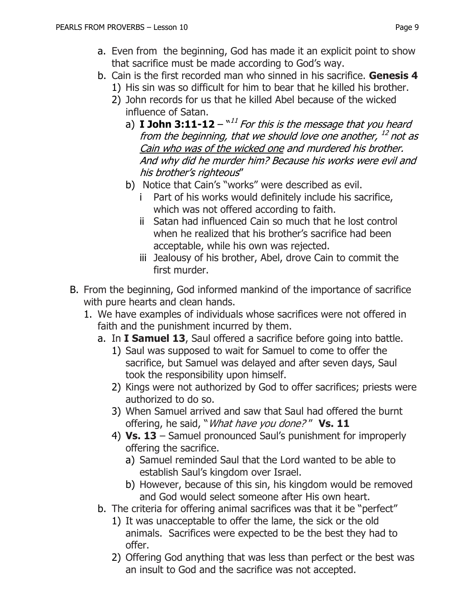- a. Even from the beginning, God has made it an explicit point to show that sacrifice must be made according to God's way.
- b. Cain is the first recorded man who sinned in his sacrifice. **Genesis 4**
	- 1) His sin was so difficult for him to bear that he killed his brother.
	- 2) John records for us that he killed Abel because of the wicked influence of Satan.
		- a) **I John 3:11-12**  $^{\text{v11}}$  For this is the message that you heard from the beginning, that we should love one another, 12 not as Cain who was of the wicked one and murdered his brother. And why did he murder him? Because his works were evil and his brother's righteous"
		- b) Notice that Cain's "works" were described as evil.
			- i Part of his works would definitely include his sacrifice, which was not offered according to faith.
			- ii Satan had influenced Cain so much that he lost control when he realized that his brother's sacrifice had been acceptable, while his own was rejected.
			- iii Jealousy of his brother, Abel, drove Cain to commit the first murder.
- B. From the beginning, God informed mankind of the importance of sacrifice with pure hearts and clean hands.
	- 1. We have examples of individuals whose sacrifices were not offered in faith and the punishment incurred by them.
		- a. In **I Samuel 13**, Saul offered a sacrifice before going into battle.
			- 1) Saul was supposed to wait for Samuel to come to offer the sacrifice, but Samuel was delayed and after seven days, Saul took the responsibility upon himself.
			- 2) Kings were not authorized by God to offer sacrifices; priests were authorized to do so.
			- 3) When Samuel arrived and saw that Saul had offered the burnt offering, he said, "What have you done? " **Vs. 11**
			- 4) **Vs. 13** Samuel pronounced Saul's punishment for improperly offering the sacrifice.
				- a) Samuel reminded Saul that the Lord wanted to be able to establish Saul's kingdom over Israel.
				- b) However, because of this sin, his kingdom would be removed and God would select someone after His own heart.
		- b. The criteria for offering animal sacrifices was that it be "perfect"
			- 1) It was unacceptable to offer the lame, the sick or the old animals. Sacrifices were expected to be the best they had to offer.
			- 2) Offering God anything that was less than perfect or the best was an insult to God and the sacrifice was not accepted.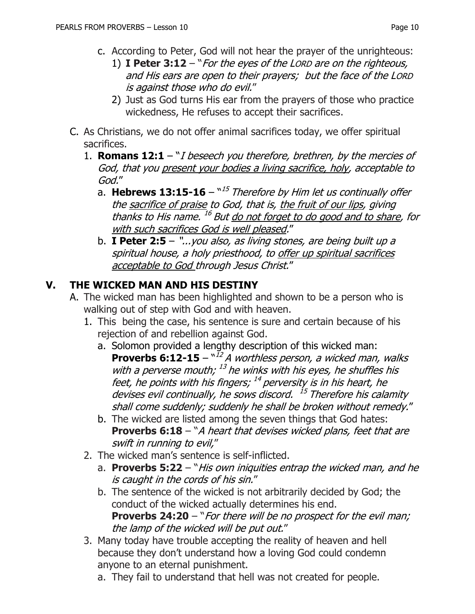- c. According to Peter, God will not hear the prayer of the unrighteous:
	- 1) **I Peter 3:12**  "For the eyes of the LORD are on the righteous, and His ears are open to their prayers; but the face of the LORD is against those who do evil."
	- 2) Just as God turns His ear from the prayers of those who practice wickedness, He refuses to accept their sacrifices.
- C. As Christians, we do not offer animal sacrifices today, we offer spiritual sacrifices.
	- 1. **Romans 12:1**  "I beseech you therefore, brethren, by the mercies of God, that you present your bodies a living sacrifice, holy, acceptable to God."
		- a. Hebrews 13:15-16  $^{\mathrm{w15}}$  Therefore by Him let us continually offer the sacrifice of praise to God, that is, the fruit of our lips, giving thanks to His name. <sup>16</sup> But <u>do not forget to do good and to share</u>, for with such sacrifices God is well pleased."
		- b. **I Peter 2:5**  "...you also, as living stones, are being built up a spiritual house, a holy priesthood, to offer up spiritual sacrifices acceptable to God through Jesus Christ."

## **V. THE WICKED MAN AND HIS DESTINY**

- A. The wicked man has been highlighted and shown to be a person who is walking out of step with God and with heaven.
	- 1. This being the case, his sentence is sure and certain because of his rejection of and rebellion against God.
		- a. Solomon provided a lengthy description of this wicked man: **Proverbs 6:12-15** –  $^{\text{N12}}$  A worthless person, a wicked man, walks with a perverse mouth;  $^{13}$  he winks with his eyes, he shuffles his feet, he points with his fingers; <sup>14</sup> perversity is in his heart, he devises evil continually, he sows discord. <sup>15</sup> Therefore his calamity shall come suddenly; suddenly he shall be broken without remedy."
		- b. The wicked are listed among the seven things that God hates: **Proverbs 6:18** – "A heart that devises wicked plans, feet that are swift in running to evil,"
	- 2. The wicked man's sentence is self-inflicted.
		- a. **Proverbs 5:22**  "His own iniquities entrap the wicked man, and he is caught in the cords of his sin."
		- b. The sentence of the wicked is not arbitrarily decided by God; the conduct of the wicked actually determines his end. **Proverbs 24:20** – "For there will be no prospect for the evil man; the lamp of the wicked will be put out."
	- 3. Many today have trouble accepting the reality of heaven and hell because they don't understand how a loving God could condemn anyone to an eternal punishment.
		- a. They fail to understand that hell was not created for people.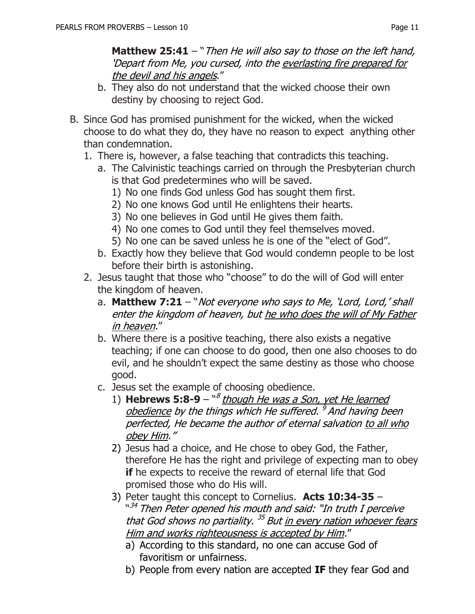**Matthew 25:41** – "Then He will also say to those on the left hand, 'Depart from Me, you cursed, into the everlasting fire prepared for the devil and his angels."

- b. They also do not understand that the wicked choose their own destiny by choosing to reject God.
- B. Since God has promised punishment for the wicked, when the wicked choose to do what they do, they have no reason to expect anything other than condemnation.
	- 1. There is, however, a false teaching that contradicts this teaching.
		- a. The Calvinistic teachings carried on through the Presbyterian church is that God predetermines who will be saved.
			- 1) No one finds God unless God has sought them first.
			- 2) No one knows God until He enlightens their hearts.
			- 3) No one believes in God until He gives them faith.
			- 4) No one comes to God until they feel themselves moved.
			- 5) No one can be saved unless he is one of the "elect of God".
		- b. Exactly how they believe that God would condemn people to be lost before their birth is astonishing.
	- 2. Jesus taught that those who "choose" to do the will of God will enter the kingdom of heaven.
		- a. **Matthew 7:21** "Not everyone who says to Me, 'Lord, Lord,' shall enter the kingdom of heaven, but he who does the will of My Father in heaven."
		- b. Where there is a positive teaching, there also exists a negative teaching; if one can choose to do good, then one also chooses to do evil, and he shouldn't expect the same destiny as those who choose good.
		- c. Jesus set the example of choosing obedience.
			- 1) **Hebrews 5:8-9** <sup>8</sup> though He was a Son, yet He learned obedience by the things which He suffered. <sup>9</sup> And having been perfected, He became the author of eternal salvation to all who obey Him."
			- 2) Jesus had a choice, and He chose to obey God, the Father, therefore He has the right and privilege of expecting man to obey **if** he expects to receive the reward of eternal life that God promised those who do His will.
			- 3) Peter taught this concept to Cornelius. **Acts 10:34-35** <sup>"34</sup> Then Peter opened his mouth and said: "In truth I perceive that God shows no partiality. <sup>35</sup> But <u>in every nation whoever fears</u> Him and works righteousness is accepted by Him."
				- a) According to this standard, no one can accuse God of favoritism or unfairness.
				- b) People from every nation are accepted **IF** they fear God and